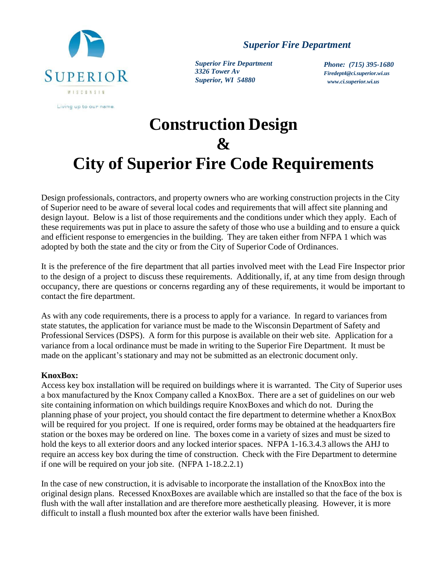

*Superior Fire Department*

*Superior Fire Department 3326 Tower Av Superior, WI 54880*

*Phone: (715) 395-1680 Firedept4@ci.superior.wi.u[s](http://www.ci.superior.wi.us/) [www.ci.superior.wi.us](http://www.ci.superior.wi.us/)*

# **Construction Design & City of Superior Fire Code Requirements**

Design professionals, contractors, and property owners who are working construction projects in the City of Superior need to be aware of several local codes and requirements that will affect site planning and design layout. Below is a list of those requirements and the conditions under which they apply. Each of these requirements was put in place to assure the safety of those who use a building and to ensure a quick and efficient response to emergencies in the building. They are taken either from NFPA 1 which was adopted by both the state and the city or from the City of Superior Code of Ordinances.

It is the preference of the fire department that all parties involved meet with the Lead Fire Inspector prior to the design of a project to discuss these requirements. Additionally, if, at any time from design through occupancy, there are questions or concerns regarding any of these requirements, it would be important to contact the fire department.

As with any code requirements, there is a process to apply for a variance. In regard to variances from state statutes, the application for variance must be made to the Wisconsin Department of Safety and Professional Services (DSPS). A form for this purpose is available on their web site. Application for a variance from a local ordinance must be made in writing to the Superior Fire Department. It must be made on the applicant's stationary and may not be submitted as an electronic document only.

## **KnoxBox:**

Access key box installation will be required on buildings where it is warranted. The City of Superior uses a box manufactured by the Knox Company called a KnoxBox. There are a set of guidelines on our web site containing information on which buildings require KnoxBoxes and which do not. During the planning phase of your project, you should contact the fire department to determine whether a KnoxBox will be required for you project. If one is required, order forms may be obtained at the headquarters fire station or the boxes may be ordered on line. The boxes come in a variety of sizes and must be sized to hold the keys to all exterior doors and any locked interior spaces. NFPA 1-16.3.4.3 allows the AHJ to require an access key box during the time of construction. Check with the Fire Department to determine if one will be required on your job site. (NFPA 1-18.2.2.1)

In the case of new construction, it is advisable to incorporate the installation of the KnoxBox into the original design plans. Recessed KnoxBoxes are available which are installed so that the face of the box is flush with the wall after installation and are therefore more aesthetically pleasing. However, it is more difficult to install a flush mounted box after the exterior walls have been finished.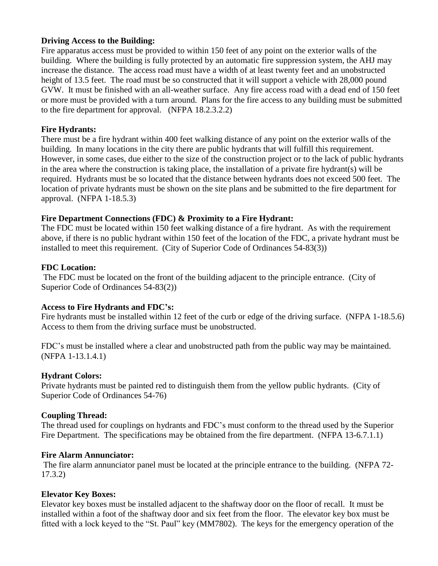#### **Driving Access to the Building:**

Fire apparatus access must be provided to within 150 feet of any point on the exterior walls of the building. Where the building is fully protected by an automatic fire suppression system, the AHJ may increase the distance. The access road must have a width of at least twenty feet and an unobstructed height of 13.5 feet. The road must be so constructed that it will support a vehicle with 28,000 pound GVW. It must be finished with an all-weather surface. Any fire access road with a dead end of 150 feet or more must be provided with a turn around. Plans for the fire access to any building must be submitted to the fire department for approval. (NFPA 18.2.3.2.2)

#### **Fire Hydrants:**

There must be a fire hydrant within 400 feet walking distance of any point on the exterior walls of the building. In many locations in the city there are public hydrants that will fulfill this requirement. However, in some cases, due either to the size of the construction project or to the lack of public hydrants in the area where the construction is taking place, the installation of a private fire hydrant(s) will be required. Hydrants must be so located that the distance between hydrants does not exceed 500 feet. The location of private hydrants must be shown on the site plans and be submitted to the fire department for approval. (NFPA 1-18.5.3)

## **Fire Department Connections (FDC) & Proximity to a Fire Hydrant:**

The FDC must be located within 150 feet walking distance of a fire hydrant. As with the requirement above, if there is no public hydrant within 150 feet of the location of the FDC, a private hydrant must be installed to meet this requirement. (City of Superior Code of Ordinances 54-83(3))

#### **FDC Location:**

The FDC must be located on the front of the building adjacent to the principle entrance. (City of Superior Code of Ordinances 54-83(2))

## **Access to Fire Hydrants and FDC's:**

Fire hydrants must be installed within 12 feet of the curb or edge of the driving surface. (NFPA 1-18.5.6) Access to them from the driving surface must be unobstructed.

FDC's must be installed where a clear and unobstructed path from the public way may be maintained. (NFPA 1-13.1.4.1)

## **Hydrant Colors:**

Private hydrants must be painted red to distinguish them from the yellow public hydrants. (City of Superior Code of Ordinances 54-76)

## **Coupling Thread:**

The thread used for couplings on hydrants and FDC's must conform to the thread used by the Superior Fire Department. The specifications may be obtained from the fire department. (NFPA 13-6.7.1.1)

#### **Fire Alarm Annunciator:**

The fire alarm annunciator panel must be located at the principle entrance to the building. (NFPA 72- 17.3.2)

## **Elevator Key Boxes:**

Elevator key boxes must be installed adjacent to the shaftway door on the floor of recall. It must be installed within a foot of the shaftway door and six feet from the floor. The elevator key box must be fitted with a lock keyed to the "St. Paul" key (MM7802). The keys for the emergency operation of the